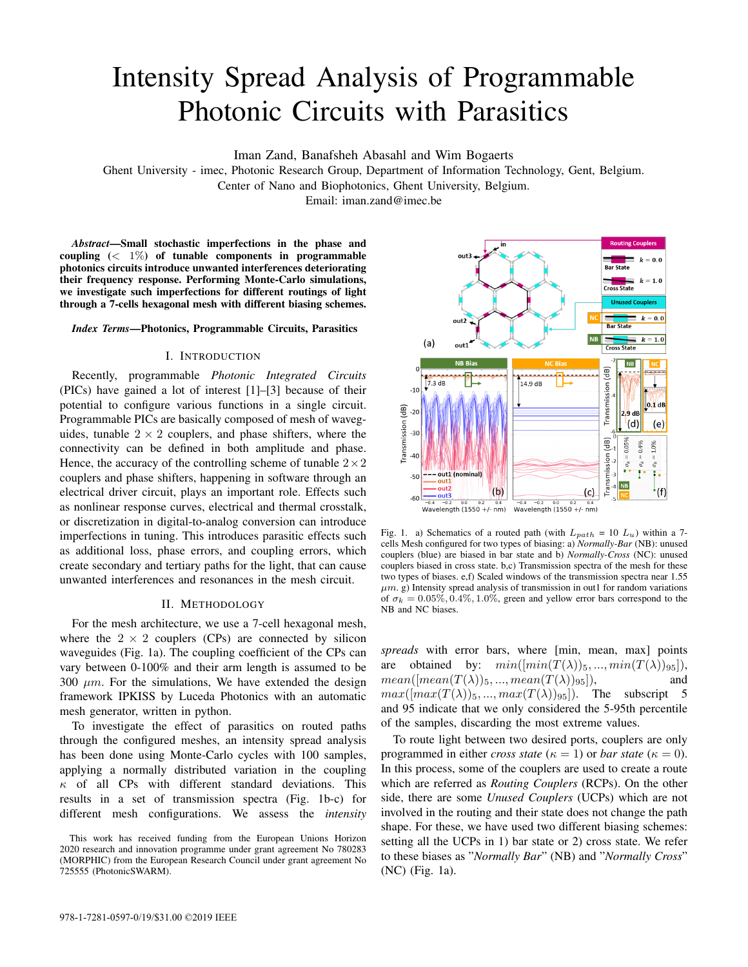# Intensity Spread Analysis of Programmable Photonic Circuits with Parasitics

Iman Zand, Banafsheh Abasahl and Wim Bogaerts

Ghent University - imec, Photonic Research Group, Department of Information Technology, Gent, Belgium.

Center of Nano and Biophotonics, Ghent University, Belgium.

Email: iman.zand@imec.be

*Abstract*—Small stochastic imperfections in the phase and coupling  $( $1\%$ )$  of tunable components in programmable photonics circuits introduce unwanted interferences deteriorating their frequency response. Performing Monte-Carlo simulations, we investigate such imperfections for different routings of light through a 7-cells hexagonal mesh with different biasing schemes.

## *Index Terms*—Photonics, Programmable Circuits, Parasitics

## I. INTRODUCTION

Recently, programmable *Photonic Integrated Circuits* (PICs) have gained a lot of interest [1]–[3] because of their potential to configure various functions in a single circuit. Programmable PICs are basically composed of mesh of waveguides, tunable  $2 \times 2$  couplers, and phase shifters, where the connectivity can be defined in both amplitude and phase. Hence, the accuracy of the controlling scheme of tunable  $2 \times 2$ couplers and phase shifters, happening in software through an electrical driver circuit, plays an important role. Effects such as nonlinear response curves, electrical and thermal crosstalk, or discretization in digital-to-analog conversion can introduce imperfections in tuning. This introduces parasitic effects such as additional loss, phase errors, and coupling errors, which create secondary and tertiary paths for the light, that can cause unwanted interferences and resonances in the mesh circuit.

# II. METHODOLOGY

For the mesh architecture, we use a 7-cell hexagonal mesh, where the  $2 \times 2$  couplers (CPs) are connected by silicon waveguides (Fig. 1a). The coupling coefficient of the CPs can vary between 0-100% and their arm length is assumed to be 300  $\mu$ m. For the simulations, We have extended the design framework IPKISS by Luceda Photonics with an automatic mesh generator, written in python.

To investigate the effect of parasitics on routed paths through the configured meshes, an intensity spread analysis has been done using Monte-Carlo cycles with 100 samples, applying a normally distributed variation in the coupling  $\kappa$  of all CPs with different standard deviations. This results in a set of transmission spectra (Fig. 1b-c) for different mesh configurations. We assess the *intensity*



Fig. 1. a) Schematics of a routed path (with  $L_{path} = 10 L_u$ ) within a 7cells Mesh configured for two types of biasing: a) *Normally-Bar* (NB): unused couplers (blue) are biased in bar state and b) *Normally-Cross* (NC): unused couplers biased in cross state. b,c) Transmission spectra of the mesh for these two types of biases. e,f) Scaled windows of the transmission spectra near 1.55  $\mu$ m. g) Intensity spread analysis of transmission in out1 for random variations of  $\sigma_k = 0.05\%, 0.4\%, 1.0\%$ , green and yellow error bars correspond to the NB and NC biases.

*spreads* with error bars, where [min, mean, max] points are obtained by:  $min( [min(T(\lambda))_5, ..., min(T(\lambda))_{95}]),$  $mean([mean(T(\lambda))_5, ..., mean(T(\lambda))_{95}]),$  and  $max([max(T(\lambda))_5, ..., max(T(\lambda))_{95}])$ . The subscript 5 and 95 indicate that we only considered the 5-95th percentile of the samples, discarding the most extreme values.

To route light between two desired ports, couplers are only programmed in either *cross state* ( $\kappa = 1$ ) or *bar state* ( $\kappa = 0$ ). In this process, some of the couplers are used to create a route which are referred as *Routing Couplers* (RCPs). On the other side, there are some *Unused Couplers* (UCPs) which are not involved in the routing and their state does not change the path shape. For these, we have used two different biasing schemes: setting all the UCPs in 1) bar state or 2) cross state. We refer to these biases as "*Normally Bar*" (NB) and "*Normally Cross*" (NC) (Fig. 1a).

This work has received funding from the European Unions Horizon 2020 research and innovation programme under grant agreement No 780283 (MORPHIC) from the European Research Council under grant agreement No 725555 (PhotonicSWARM).